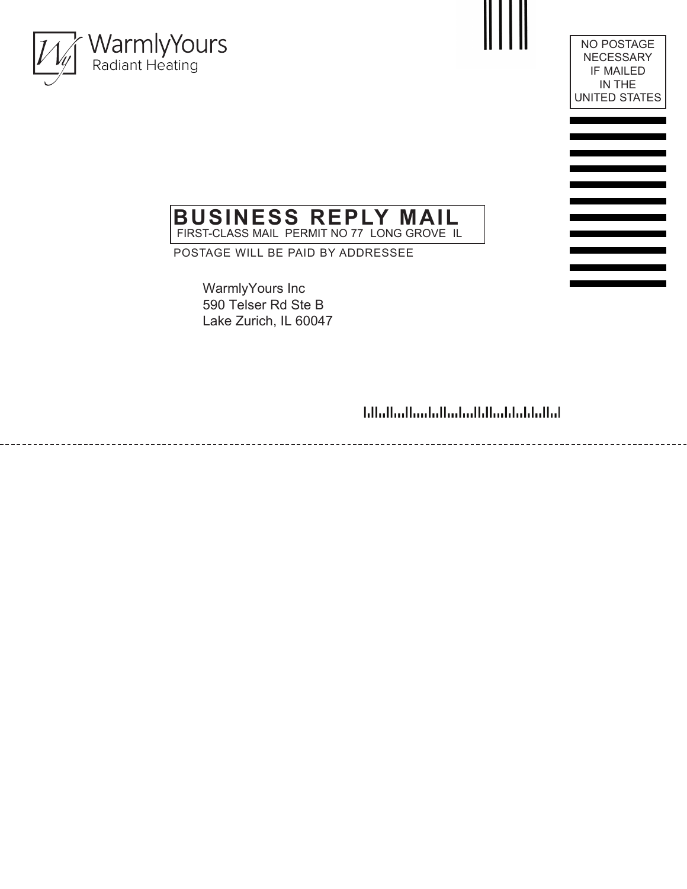

NO POSTAGE NECESSARY IF MAILED IN THE UNITED STATES



POSTAGE WILL BE PAID BY ADDRESSEE

WarmlyYours Inc 590 Telser Rd Ste B Lake Zurich, IL 60047

blballardiadallarlardidiadalardial